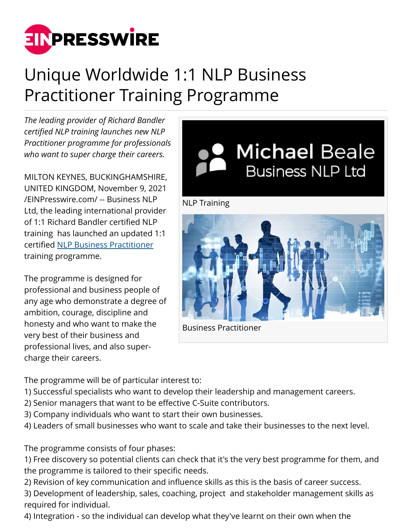

## Unique Worldwide 1:1 NLP Business Practitioner Training Programme

*The leading provider of Richard Bandler certified NLP training launches new NLP Practitioner programme for professionals who want to super charge their careers.*

MILTON KEYNES, BUCKINGHAMSHIRE, UNITED KINGDOM, November 9, 2021 [/EINPresswire.com/](http://www.einpresswire.com) -- Business NLP Ltd, the leading international provider of 1:1 Richard Bandler certified NLP training has launched an updated 1:1 certified [NLP Business Practitioner](https://nlp-training.org/nlp-practitioner-training/nlp-business-practitioner/) training programme.

The programme is designed for professional and business people of any age who demonstrate a degree of ambition, courage, discipline and honesty and who want to make the very best of their business and professional lives, and also supercharge their careers.



The programme will be of particular interest to:

- 1) Successful specialists who want to develop their leadership and management careers.
- 2) Senior managers that want to be effective C-Suite contributors.
- 3) Company individuals who want to start their own businesses.
- 4) Leaders of small businesses who want to scale and take their businesses to the next level.

The programme consists of four phases:

1) Free discovery so potential clients can check that it's the very best programme for them, and the programme is tailored to their specific needs.

2) Revision of key communication and influence skills as this is the basis of career success.

3) Development of leadership, sales, coaching, project and stakeholder management skills as required for individual.

4) Integration - so the individual can develop what they've learnt on their own when the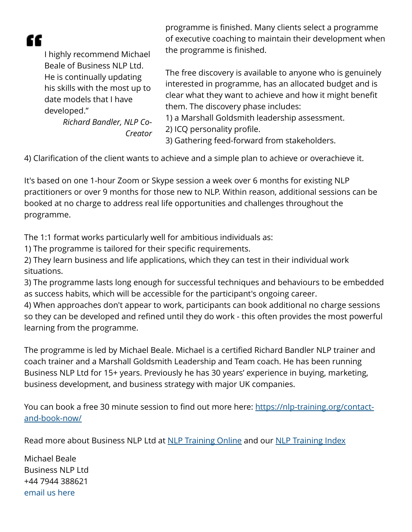CC.

I highly recommend Michael Beale of Business NLP Ltd. He is continually updating his skills with the most up to date models that I have developed."

> *Richard Bandler, NLP Co-Creator*

programme is finished. Many clients select a programme of executive coaching to maintain their development when the programme is finished.

The free discovery is available to anyone who is genuinely interested in programme, has an allocated budget and is clear what they want to achieve and how it might benefit them. The discovery phase includes:

1) a Marshall Goldsmith leadership assessment.

2) ICQ personality profile.

3) Gathering feed-forward from stakeholders.

4) Clarification of the client wants to achieve and a simple plan to achieve or overachieve it.

It's based on one 1-hour Zoom or Skype session a week over 6 months for existing NLP practitioners or over 9 months for those new to NLP. Within reason, additional sessions can be booked at no charge to address real life opportunities and challenges throughout the programme.

The 1:1 format works particularly well for ambitious individuals as:

1) The programme is tailored for their specific requirements.

2) They learn business and life applications, which they can test in their individual work situations.

3) The programme lasts long enough for successful techniques and behaviours to be embedded as success habits, which will be accessible for the participant's ongoing career.

4) When approaches don't appear to work, participants can book additional no charge sessions so they can be developed and refined until they do work - this often provides the most powerful learning from the programme.

The programme is led by Michael Beale. Michael is a certified Richard Bandler NLP trainer and coach trainer and a Marshall Goldsmith Leadership and Team coach. He has been running Business NLP Ltd for 15+ years. Previously he has 30 years' experience in buying, marketing, business development, and business strategy with major UK companies.

You can book a free 30 minute session to find out more here: [https://nlp-training.org/contact](https://nlp-training.org/contact-and-book-now/)[and-book-now/](https://nlp-training.org/contact-and-book-now/)

Read more about Business NLP Ltd at [NLP Training Online](https://nlp-training.org/) and our [NLP Training Index](https://nlp-training.org/nlp-training-index/)

Michael Beale Business NLP Ltd +44 7944 388621 [email us here](http://www.einpresswire.com/contact_author/3192564)